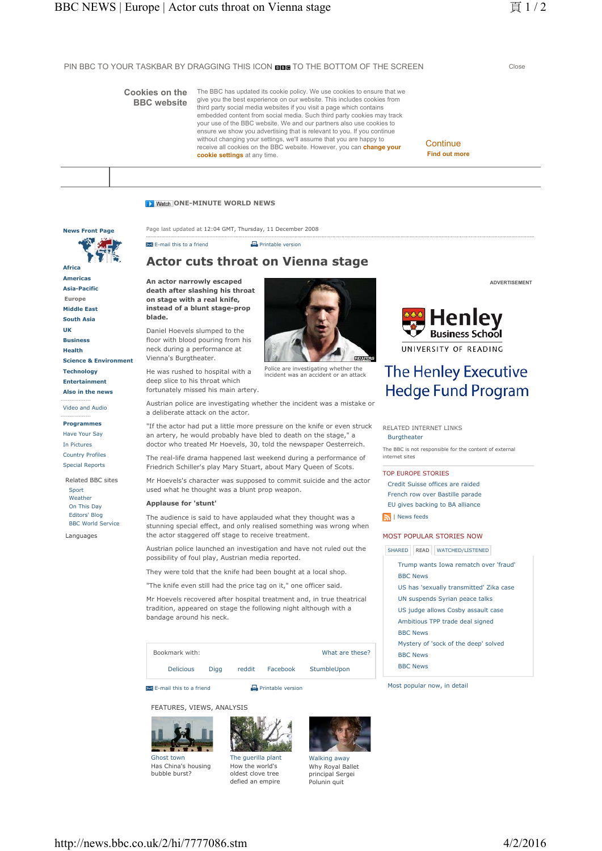PIN BBC TO YOUR TASKBAR BY DRAGGING THIS ICON **BBB** TO THE BOTTOM OF THE SCREEN Close

# **Cookies on the BBC website**

**News Front Page**

**Science & Environment**

**Technology Entertainment Also in the news** ----------------- Video and Audio ----------------- **Programmes** Have Your Say In Pictures Country Profiles Special Reports Related BBC sites Sport Weather On This Day Editors' Blog BBC World Service Languages

**Africa Americas Asia-Pacific Europe Middle East South Asia UK Business Health**

The BBC has updated its cookie policy. We use cookies to ensure that we give you the best experience on our website. This includes cookies from third party social media websites if you visit a page which contains embedded content from social media. Such third party cookies may track your use of the BBC website. We and our partners also use cookies to ensure we show you advertising that is relevant to you. If you continue without changing your settings, we'll assume that you are happy to receive all cookies on the BBC website. However, you can **change your cookie settings** at any time.

**Continue Find out more**

# **D** Watch ONE-MINUTE WORLD NEWS

Page last updated at 12:04 GMT, Thursday, 11 December 2008

 $\blacksquare$  E-mail this to a friend  $\blacksquare$  Printable version

# **Actor cuts throat on Vienna stage**

**An actor narrowly escaped death after slashing his throat on stage with a real knife, instead of a blunt stage-prop blade.**

Daniel Hoevels slumped to the floor with blood pouring from his neck during a performance at Vienna's Burgtheater.

He was rushed to hospital with a deep slice to his throat which fortunately missed his main artery.

Austrian police are investigating whether the incident was a mistake or a deliberate attack on the actor.

Police are investigating whether the incident was an accident or an attack

"If the actor had put a little more pressure on the knife or even struck an artery, he would probably have bled to death on the stage." a doctor who treated Mr Hoevels, 30, told the newspaper Oesterreich.

The real-life drama happened last weekend during a performance of Friedrich Schiller's play Mary Stuart, about Mary Queen of Scots.

Mr Hoevels's character was supposed to commit suicide and the actor used what he thought was a blunt prop weapon.

#### **Applause for 'stunt'**

The audience is said to have applauded what they thought was a stunning special effect, and only realised something was wrong when the actor staggered off stage to receive treatment.

Austrian police launched an investigation and have not ruled out the possibility of foul play, Austrian media reported.

They were told that the knife had been bought at a local shop.

"The knife even still had the price tag on it," one officer said.

Mr Hoevels recovered after hospital treatment and, in true theatrical tradition, appeared on stage the following night although with a bandage around his neck.

Bookmark with: Delicious Digg reddit Facebook StumbleUpon What are these?

 $\blacksquare$  E-mail this to a friend  $\blacksquare$  Printable version

FEATURES, VIEWS, ANALYSIS





The guerilla plant How the world's oldest clove tree defied an empire



Walking away Why Royal Ballet principal Sergei Polunin quit

**ADVERTISEMENT**



# **The Henley Executive Hedge Fund Program**

RELATED INTERNET LINKS Burgtheater

The BBC is not responsible for the content of external internet sites

## TOP EUROPE STORIES

- Credit Suisse offices are raided French row over Bastille parade
- EU gives backing to BA alliance

**N** I News feeds

## MOST POPULAR STORIES NOW

SHARED READ WATCHED/LISTENED

Trump wants Iowa rematch over 'fraud' BBC News US has 'sexually transmitted' Zika case UN suspends Syrian peace talks US judge allows Cosby assault case Ambitious TPP trade deal signed BBC News Mystery of 'sock of the deep' solved BBC News BBC News

Most popular now, in detail